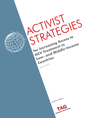ACTIVIST STRATEGIES **for Increasing Access to**  Low- and Middle-Income **HCV Treatment in Countries** February 201<sup>5</sup> By Karyn KaplanTreatment Action Group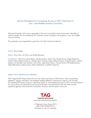### Activist Strategies for Increasing Access to HCV Treatment in Low- and Middle-Income Countries

We hope this guide, which owes a great debt to the many committed activists whose work it describes, is useful to people who are developing HCV treatment access campaigns and programs in low- and middleincome countries.

This publication was supported by a grant from the Open Society Foundations.

Author: Karyn Kaplan

Editors: Tracy Swan, Lei Chou, and Andrea Benzacar

Contributors: Tahir Amin, Brook Baker, Julie Bouscaillou, Matt Curtis, Nicolas Durier, Sergey Filippovich, Chloé Forette, Matthew Hickman, Zahedul Islam, Pauline Londeix, Niklas Luhmann, Natasha Martin, Ludmila Maistat, Luis Mendão, Edo Nasution, Jimmy Pan, India Perez-Urbano, Camila Picchio, Priti Radhakrishnan, Olga Stefanyshyna, Robert Suarez, Paata Sabelashvili, and Peter Vickerman

#### ABOUT TAG'S HEPATITIS/HIV PROJECT

TAG's Hepatitis/HIV Project draws from the core values and history of HIV activism, while incorporating hepatitis C–specific information into strategies targeting different constituencies, regions, and countries. The Hepatitis/HIV Project focuses on optimizing quality of, and broadening access to, HCV care and treatment for communities and individuals by continuing its domestic and international work with other activists, regulatory agencies, pharmaceutical companies, clinicians, and the patient community.



© Treatment Action Group 2015 ISBN 978-0-9905242-0-5 Permission to use w/o copyright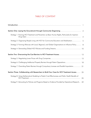### TABLE OF CONTENT

| Strategy 1: Framing HCV Treatment and Prevention as Basic Human Rights, Particularly for Injection     | $\overline{2}$ |
|--------------------------------------------------------------------------------------------------------|----------------|
| Strategy 2: Organizing People Living with HCV for Community Education and Mobilization 5               |                |
| Strategy 3: Forming Alliances with Local, Regional, and Global Organizations to Influence Policy 8     |                |
|                                                                                                        |                |
|                                                                                                        |                |
|                                                                                                        |                |
| Strategy 6: Challenging Intellectual Property Barriers through Patent Oppositions 18                   |                |
| Strategy 7: Overriding Patent Barriers through Compulsory Licenses and Parallel Importation 21         |                |
| Section Three: Collaborating with Researchers to Build Your Case for HCV Treatment Access 25           |                |
| Strategy 8: Using Mathematical Modeling to Predict Cost-Effectiveness and Public Health Benefits of    | 25             |
| Strategy 9: Advocating for Policies and Programs Based on Evidence Provided by Operational Research 29 |                |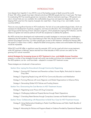### INTRODUCTION

Liver disease from hepatitis C virus (HCV) is one of the leading causes of death around the world. At least 185 million people have been infected and almost 500,000 people die from it each year. The hope for eradicating HCV has recently gained new momentum: effective treatments reaching a 100 percent cure rate in clinical trials are now available. But unaffordable drug prices and expensive diagnostic tools are keeping HCV cures from the majority of people who need them—those living in low- and middle- income countries (LMICs).

There are many significant barriers to HCV eradication: the lack of accurate epidemiological data, which are necessary for development of policies, programs, and resource allocation; the criminalization of people who inject drugs and the banning of harm reduction programs, which perpetuate ongoing HCV infection; and the absence of global and national political will (with few exceptions) to address the epidemic.

But AIDS activists have developed and implemented successful strategies to overcome similar challenges in addressing the HIV epidemic. From Johannesburg to New York, Río de Janeiro to Bangkok, activist-driven policies have helped more than 10 million people gain access to HIV treatment. Antiretroviral therapy (ART) has saved 4.2 million lives in LMICs—despite the belief among policy makers and world leaders that doing so would be impossible.

While HCV and HIV differ in significant ways (for example, HCV can be cured with short-course treatment, while HIV treatment is lifelong), lessons learned from three decades of AIDS activism are useful for the growing HCV activist movement.

#### *Activist Strategies for Increasing Access to HCV Treatment in Low- and Middle-Income Countries*

presents a number of key strategies through real-world case studies and shows how strategies used to combat the AIDS epidemic can be—and have been—adapted to increase HCV treatment access.

These strategies are introduced in three sections:

#### Section One: Laying the Groundwork through Community Organizing

- Strategy 1: Framing HCV Treatment and Prevention as Basic Human Rights, Particularly for Injection Drug Users
- Strategy 2: Organizing People Living with HCV for Community Education and Mobilization
- Strategy 3: Forming Alliances with Local, Regional, and Global Organizations to Influence Policy
- Strategy 4: Demanding Global HCV Policies and Funding Streams

#### Section Two: Overcoming the Cost Barriers to HCV Treatment Access

- Strategy 5: Negotiating Lower Prices with Drug Companies
- Strategy 6: Challenging Intellectual Property Barriers through Patent Oppositions
- Strategy 7: Overriding Patent Barriers through Compulsory Licenses and Parallel Importation
- Section Three: Collaborating with Researchers to Build Your Case for HCV Treatment Access
	- Strategy 8: Using Mathematical Modeling to Predict Cost-Effectiveness and Public Health Benefits of HCV Treatment
	- Strategy 9: Advocating for Policies and Programs Based on Evidence Provided by Operational Research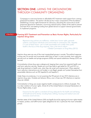## SECTION ONE: LAYING THE GROUNDWORK THROUGH COMMUNITY ORGANIZING

Campaigns to overcome barriers to affordable HCV treatment need support from a strong grassroots foundation. This section will discuss four major components of this foundation: establishing a human rights framework for advocacy; educating the community to build grassroots demand for treatment; convincing national policy makers of the need to prevent and treat HCV; and seeking funding from global donors to support national governments to implement programs.

### STRATEGY 1: Framing HCV Treatment and Prevention as Basic Human Rights, Particularly for Injection Drug Users

*Repressive drug policies are ineffective, violate basic human rights, generate violence, and expose individuals and communities to unnecessary risks. Hepatitis C is one of these harms—yet it is both preventable and curable when public health is the focus of the drug response. Now is the time to reform.* —Global Commission on Drug Policy (2013)

Injection drug users are one of the most marginalized groups in society. The political response to drug use is to punish and incarcerate rather than to treat. In most countries, harm reduction services such as needle and syringe programs (NSPs) and opioid substitution therapy (OST) are banned.

Criminalization drives drug users underground, keeping them away from essential health care and harm reduction services. People are much less likely to get tested for HIV and HCV, or seek drug treatment or health care, when they risk arrest and imprisonment. When essential harm reduction interventions are not funded, or are illegal, people can't protect themselves from preventable infections such as HIV, hepatitis B, and hepatitis C.

Under these circumstances, it is not surprising that 90 percent of new HCV infections are in injection drug users. Outside sub-Saharan Africa, one in three new HIV infections is injection drug use–related.

Criminalization of drug use causes negative health consequences to millions of people. This is a clear violation of human rights. Article 25 of the United Nation's Universal Declaration of Human Rights states, in part:

*Everyone has the right to a standard of living adequate for the health and well-being of himself and of his family, including food, clothing, housing and medical care and necessary social services.*

Member states of the United Nations (UN) are legally bound by signing its human rights treaties to respect, protect, and fulfill human rights obligations for all, in particular the most vulnerable groups.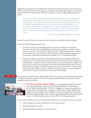People who use drugs have long been at the forefront of national, regional, and international efforts to ensure that their human rights are recognized. Meaningful participation is recognized by the World Health Organization (WHO) as essential to a human rights–based approach to health:

*In relation to health, a rights-based approach means integrating human rights norms and principles in the design, implementation, monitoring, and evaluation of healthrelated policies and programmes. These include human dignity, attention to the needs and rights of vulnerable groups, and an emphasis on ensuring that health systems are made accessible to all… Integrating human rights into development also means empowering poor people, ensuring their participation in decision-making processes,*  which concern them and incorporating accountability mechanisms, which they can *access.* 

—WHO, Human Rights-Based Approach to Health

Around the world, drug user activists and their allies have successfully used this strategy.

Key human rights–based arguments are:

- Thirty-two countries use the death penalty to punish drug offenses. Extrajudicial executions (or state-sanctioned killings) have also been reported, and arrests without cause are common. These policies violate drug users' rights to freedom from arbitrary arrest, detention, torture, and other cruel, inhumane, and degrading treatment and punishments, under the UN International Covenant on Civil and Political Rights.
- When harm reduction services—namely NSPs and OST are prohibited, people who need them are put at high risk for acquiring HIV and HCV. Criminalization of drug use and possession creates a climate of fear and stigma, putting drug users at higher risk of dying from acute and chronic diseases. Even when they do seek health care, HIV and HCV treatment are often withheld from drug users due to discrimination. These policies violate drug users' rights to health, well-being, and equal access to services under the International Covenant on Economic, Social and Cultural Rights.

CASE STUDY: Activists have monitored human rights abuses in their communities, and use their documentation of violations to garner support from powerful regional or global allies to advocate for better programs, policies, and laws.



The Thai Drug Users' Network (TDN) is an activist group founded by injection drug users and people living with HIV. TDN was established on International Human Rights Day (December 10) 2002 in Bangkok as a grassroots response to a government drug eradication campaign in 2003, when at least 2,800 people suspected of drug offenses were murdered and tens of thousands of others were forced into drug detention camps. They also protested against the Thai government's inaction in addressing the country's severe AIDS crisis among drug users.

Human rights violations commonly experienced by drug users in Thailand at the time included:

- police harassment, abuse, and detention without due process;
- extrajudicial executions; and
- denial of health care and harm reduction services.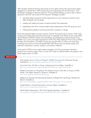TDN members started by learning about basic human rights and the Thai government's legal obligations to uphold them. TDN members became empowered with this information. They developed campaigns to demand justice for the drug-related killings, access to clean injection equipment and OST, and access to HIV treatment. Strategies included:

- educating allied nongovernmental organizations on harm reduction and the human rights of people who use drugs;
- meeting with health and justice ministries and the Thai parliament;
- appealing to the UN to conduct health impact assessments of the Thai drug war; and
- holding street protests to end the government crackdown on drugs.

Given the repressive legal and policy situation and the Thai government's inaction, TDN chose to bypass the traditional government-led process for applying to the Global Fund to Fight AIDS, TB and Malaria (GFATM). Instead, they submitted a groundbreaking proposal directly to the GFATM. Four community-based organizations (TDN, Thai AIDS Treatment Action Group [TTAG], the Raks Thai Foundation, and Alden House) were granted US\$1.3 million over three years to develop and scale up community-based NSPs and HIV services (counseling, testing, and referrals to treatment) in central, northern, and southern Thailand.

As the result of TDN's human rights–based campaigns, the Thai government instituted a national harm reduction policy. Now, it covers OST under its national health care program, and tacitly supports peer-run NSPs.

#### RESOURCES:

Asia Catalyst. *Know It, Prove It, Change It: A Rights Curriculum for Grassroots Groups*. Available at: [http://asiacatalyst.org/nonprofit\\_survival\\_skills/.](http://asiacatalyst.org/nonprofit_survival_skills/)

Count the Costs. *The War on Drugs: Undermining Human Rights*. Available at: [http://www.countthecosts.org/sites/default/files/Human\\_rights\\_briefing.pdf](http://www.countthecosts.org/sites/default/files/Human_rights_briefing.pdf).

Global Commission on Drug Policy. *The Negative Impact of the War on Drugs on Public Health: The Hidden Hepatitis C Epidemic*. Available at: [http://www.globalcommissionondrugs.org.](http://www.globalcommissionondrugs.org)

Médecins du Monde and International Network of People Who Use Drugs. *Nobody Left Behind*. Available at:

[http://www.hepcoalition.org/IMG/pdf/201406-mdm-policy-vhc-en-web.pdf.](http://www.hepcoalition.org/IMG/pdf/201406-mdm-policy-vhc-en-web.pdf)

United Nations. *Universal Declaration of Human Rights*. Available at: [http://www.un.org/en/documents/udhr/.](http://www.un.org/en/documents/udhr/)

World Health Organization. *2014 Viral Hepatitis Resolution*. Available at: [http://apps.who.int/gb/ebwha/pdf\\_files/WHA67/A67\\_R6-en.pdf?ua=1](http://apps.who.int/gb/ebwha/pdf_files/WHA67/A67_R6-en.pdf?ua=1).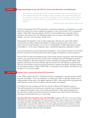#### STRATEGY 2: Organizing People Living with HCV for Community Education and Mobilization

*As an activist, I never thought of HIV in relation to health. That is what inspired me and other colleagues to form the Treatment Action Campaign. We realized that unless you know about your illness, how to treat it, the dangers of your treatment, and the political*  and economic context in which you need treatment, you are not going to survive the *epidemic.*

—Zackie Achmat, South African AIDS activist

The lack of awareness about HCV prevention, transmission, diagnosis, and treatment is a major barrier for activists who want to address the epidemic in their communities. HCV is sometimes called a "silent killer" because people with HCV can live healthy lives for decades without symptoms. During this time, liver disease develops and can worsen. But hepatitis C can be treated—and now, with new drugs, usually cured.

Most people with hepatitis C have not been diagnosed. Tests that are used to tell whether someone has ever been infected with hepatitis C (called screening) and to confirm that a person has the actual hepatitis C virus in her or his bloodstream (called diagnostics) are often unavailable or—in the case of diagnostic tests—prohibitively expensive, especially in LMICs.

Since most people are unaware that they have hepatitis C, and access to treatment is so limited, less than five percent of the estimated 185 million people with hepatitis C receive treatment.

HIV and HCV are both transmitted through contaminated injection equipment. Most HIV-positive injection drug users also have HCV. Communities of people living with HIV began to become aware of hepatitis C after they fought for access to treatment and regained their health. They started to see friends and family members get sick and die from liver disease caused by HCV. The lack of information and services spurred activists to organize themselves, starting by asking the some basic questions: What is HCV? Why is it important to know about? and What can we do about it in our communities?

#### CASE STUDY: Lessons from a community-driven HIV movement

In the 1990s, people with HIV in Thailand launched a campaign for universal access to health care with one slogan: "Why are medications so expensive?" Within a decade, Thailand was a widely praised success story in the global response to AIDS. Today nearly half of all people who need treatment receive it for free under a national health care program.

In Thailand, the role of people with HIV was central to effective HIV treatment scale-up. Their self-empowerment and advocacy movement was a response to the lack of information on a disease that people in their communities are dying from. When people realized that the information would not be forthcoming from the government, they found the information themselves and educated their own communities.

The Thai Network of People Living with HIV/AIDS created an HIV 101 curriculum of basic HIV/AIDS information developed and implemented by and for peers. Today, tens of thousands of people have been through these peer-driven trainings. This community education strategy has provided an important foundation for activists to galvanize demand for treatment and to mobilize their communities to engage their governments. HIV treatment-access activists have used similar strategies effectively across the globe.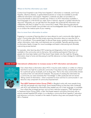#### Where to find the information you need

Contact local hospitals to see if they have hepatitis C information or materials, and if local hepatitis, infectious disease, or gastrointestinal doctors or nurses are available to provide additional information and support. Hepatitis C materials are often not provided in a community-friendly or advocacy-oriented way. If there is no HCV information available in local languages or in the format you need, look to national, regional, or global networks for resources. Frequently, you can get help from the people who produced the information and collaborate with them to adapt it to your community's needs. When planning educational workshops, find local health care providers who are knowledgeable about HCV to help develop or co-conduct the medical parts of your meeting.

#### How to move from information to action

Engaging in a process of learning about an issue relevant to one's community often leads to action. Communities often find that simply acquiring information about an issue like HIV or HCV is not sufficient. Once people begin to discuss these issues, questions emerge about why certain information, tools, tests, and treatments are not available. Typically, gaining access to information feeds a hunger for more knowledge and leads to discovering and ultimately overcoming access barriers.

For example, when learning about HCV screening and diagnostics, find out what tests are available in the community, and at what price. Ask workshop participants if they know of people who have been tested, and if they haven't been tested, why this might be. Bringing information close to home and discussing its real-life relevance is a basic strategy for mobilizing communities.

#### CASE STUDY: International collaboration to increase access to HCV information and education

ช่มือการฝึกอบรม สำหรับนักรณรงค์เรื่องการรักษา : ไวรัดกับอักเสบบี ไวรัสตันอักเสบซี และการติดเรื่อ ไวรัสทันอักเสนร่วมกันเชื้อเอชไอว



Even where there is information about HCV, it may be overly medical, or written at a literacy level that is too high for a particular community. It may leave out key considerations critical for a particular group of people, such as drug users. That is why many communities choose to produce their own educational materials. The process of creating this information for a community can raise awareness that "knowledge" is often produced and not neutral. Taking control of information—what is important to know and how to communicate it—can become a key component of community empowerment.

Thai AIDS Treatment Action Group (TTAG) in Bangkok works with many people living with HIV and people who inject drugs. Some started finding out that they were coinfected with HCV, and realized the information they needed was not in their language, or available from where they accessed services, such as harm reduction programs. TTAG reached out

to Treatment Action Group (TAG), a New York-based research and policy think-tank with an activist-oriented hepatitis/HIV project, to co-develop a community-driven hepatitis C education and advocacy curriculum, focused on the needs of injection drug users and people living with HIV in Thailand.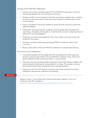Key steps of the TTAG/TAG collaboration:

- Conduct community consultations about HCV and HIV/HCV information, to find out what people already know, and what they want to learn.
- Develop a draft curriculum based on what Thai communities wanted to learn, including an advocacy discussion section at the end of each chapter to stimulate action at the community level.
- Invite a committee of community members to review the draft curriculum content and add their feedback.
- Hold a pilot "Training of Trainers" workshop with Thai people with HIV, people who inject drugs, and people with hepatitis C, to test the draft curriculum; adapt and revise in response to community feedback.
- Finalize the curriculum and translate into Thai; have another community review and finalize the Thai version.
- Develop a work plan and fundraising strategy (TTAG) to enable the rollout of the curriculum.
- Revise a policy brief on HCV and HIV/HCV coinfection for national-level advocacy.

Key outcomes of the collaboration:

- Thousands of people with HIV, people with HCV, and people who inject drugs were trained in a broad range of basic HCV and HIV/HCV coinfection issues. Many have become effective trainers at the local, district, or provincial level.
- Informed community members started to advocate to have HCV treatment added to the national essential medicines list, and provided at no charge. They worked to remove discriminatory policies that excluded them from receiving treatment.
- Lessons from the Thai HCV treatment education and access movement have been presented at international conferences and meetings.

#### RESOURCE:

Kaplan K, Swan T. *Training Manual for Treatment Advocates: Hepatitis C Virus and Coinfection with HIV*. Available at: [http://www.treatmentactiongroup.org/hcv/publications/training-manual-hcv-hiv.](http://www.treatmentactiongroup.org/hcv/publications/training-manual-hcv-hiv)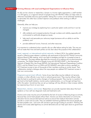#### STRATEGY 3: Forming Alliances with Local and Regional Organizations to Influence Policy

An ally can be a doctor or researcher, a lawyer in a human rights organization, a staff member in a UN agency, or a regional network of people living with HIV/HCV. Allies can help make an otherwise impossible advocacy goal possible. Seeing this in action can be extremely heartening to advocates who often face constant rejection and pushback while working on difficult challenges.

Generally, allies can help you:

- improve your strategy by explaining how a particular system works and how it can be changed;
- offer solidarity and increased protection through numbers and visibility, especially with controversial or politically dangerous issues;
- help reach and persuade your advocacy target (someone with an ability to end the problem); and
- provide additional human, financial, and other resources.

It is important to understand what a specific ally can offer before asking for help. This way you will not waste their time and both parties can be clear about the purpose of the collaboration.

Local, regional, or international activist networks: In March 2014, four global networks issued a collective press release in solidarity with participants of the first HCV World Community Advisory Board (CAB) meeting, which was held to strategize and fight for increased access to HCV treatment. The press release described the outcome of its meeting with six pharmaceutical companies. The Global Network of People Living with HIV/AIDS (GNP+), the International Network of People Who Use Drugs (INPUD), the International Treatment Preparedness Coalition (ITPC), and the Global Forum on MSM and HIV (MSMGF) were able to shine a spotlight on HCV treatment access to tens of thousands of their members working on similar issues. Their collaboration started a dialogue about the ways people can address HCV treatment access in their own communities.

Progressive government officials: Some of your best allies may be midlevel civil servants, ministers, or other officials in your local or national government. They may be willing to help take the lead on pushing for policy changes or funding proposals. They may be in a position to get hard-to-find health statistics, monitor policy implementation, or cut through red tape from within the system. Sometimes they can set up meetings with key officials or help increase visibility by cosponsoring a forum on your issue.

Researchers, doctors, and nurses: Researchers can provide important data about the local epidemic or how well new diagnostic tools and treatments work.

Doctors and nurses may be just as frustrated by the lack of access to lifesaving drugs as activists, because they cannot treat people without them. Doctors can share information at community education forums and provide technical advice to ensure that medical information activists provide is current and accurate. They can establish treatment guidelines that ensure people get the best possible care—and work with activists to get enough funding to provide it. Working with doctors and nurses adds legitimacy to activist demands and can help open doors to government officials.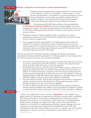#### Ukraine: mobilization of communities to create treatment demand CASE STUDY:



Ukrainian activists have galvanized a national movement to increase access to HCV treatment. In Ukraine, an estimated 1.3 million people—or three percent of the population—has hepatitis C, but access to treatment is scarce. Activists realized that a national plan was needed to address Ukraine's hepatitis C epidemic. They worked with their government to develop a national plan that greatly improved access to testing and treatment.

1. The International HIV/AIDS Alliance (Alliance Ukraine) established the **All-Ukrainian Network of NGOs** (the Network), bringing together community representatives, experts, advocates, and patient groups from across the country to focus on HCV. Many of these groups had worked for 15 years on harm reduction activities across the country.

- 2. The Alliance Ukraine conducted targeted trainings on hepatitis C for medical professionals, patients, and activists and started to integrate HCV prevention services into harm reduction programming.
- 3. They increased awareness about hepatitis C by holding regular public events that included HCV screening in all Ukrainian regions. They did outreach to local and national media, which covered these testing events. Once people were tested, they were motivated to seek care, and they began to demand access to HCV treatment at local and national government health care facilities.

After this successful HCV awareness and testing campaign, the Ukrainian government responded by creating a national hepatitis plan. The Network pushed for more funding so that the national program would cover as many people as possible.

- Activists met with representatives from companies that make HCV diagnostics and drugs to provide a realistic picture of the HCV epidemic in Ukraine. They argued for lower prices, given the number of Ukrainians living with hepatitis C.
- Activists and patient groups pushed the government to offer a tender to treatment and diagnostics companies for them to submit their best-price bids to sell their products in Ukraine. The tender created price competitions and in the process lowered prices: the Ukrainian government got Merck to reduce the price of one of its hepatitis C medicines, pegylated interferon (PEG-IFN). Before these negotiations, a 48-week treatment course cost US\$16,000; the Ukrainian government lowered it to US\$5,000.
- They advocated for inclusion of drug users and people living with HIV on local decisionmaking commissions to ensure that people from these groups had access to HCV treatment programs and a say in how they were designed.
- The Alliance Ukraine and partners are working with local and national authorities to develop treatment guidelines and models of care for providing HCV treatment to people on opioid substitution therapy, showing that treatment for this key population is effective.

#### RESOURCE:

9 In 2012, a new global HCV activist movement—**[HepCoalition](http://www.hepcoalition.org)**—came together. It is a global coalition of individuals and organizations working for universal access to affordable HCV testing and treatment. The group has representation from nearly every continent. Members communicate via an e-mail listserv to share information on drug development, debate advocacy strategies, and support each other's local work through technical assistance and connections to needed expertise. Members organize meetings and launch campaigns to lower drug prices and demand HCV leadership from the WHO. New working groups often form when members want to focus on a specific issue, such as patent oppositions as a means to overcome access barriers. To get involved, visit [http://www.](http://www.hepcoalition.org) [hepcoalition.org.](http://www.hepcoalition.org)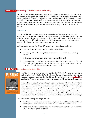#### STRATEGY 4: Demanding Global HCV Policies and Funding

At least 185 million people have been infected with hepatitis C, and nearly 500,000 die from it each year. Yet the global response to HCV has been feeble. One of the major barriers—the difficulty of treating hepatitis C—is gone: new safe, effective oral drugs can cure HCV, usually in 12 weeks. But several obstacles to HCV eradication remain: surveillance is inadequate; many countries do not have national plans or evidence-based testing, care, and treatment guidelines; and there is a lack of funding. International political leadership is needed to overcome these barriers.

#### Act globally

Though the UN system can seem remote, impenetrable, and less relevant than national governments for grassroots activists, it is a crucial advocacy target. The World Health Assembly (WHA) at the UN is the decision-making body that dictates policy for the WHO. Activists have successfully advocated for policies through the WHA that are sometimes more favorable to people with HCV than are the policies in their own countries.

Activists may interact with the UN on HCV issues in a number of ways, including:

- monitoring the WHO's viral hepatitis policies and quidelines;
- participating in the UN meetings that are open to civil society members, including activists;
- holding agencies accountable to their promises and plans; and
- making sure that community participation is inclusive of a broad range of activists, and that marginalized groups—such as injection drug users, sex workers, migrants, people living with HIV, and other affected groups are represented.

#### CASE STUDY: Demanding global leadership



In 2010, a viral hepatitis resolution was passed at the UN WHA. The resolution mandated leadership from the WHO. But the WHO's Director-General, Margaret Chan, did not lead the agency to adequately respond to the HCV pandemic. Activists from the **HepCoalition** launched the "Missing" campaign to hold Dr. Chan accountable and demand leadership.

Armed with demands and posters, activists launched the campaign at the 2013 International Harm Reduction Conference in Vilnius, Lithuania, to generate support from organizations around the world. The campaign circulated an online sign-on petition to Dr. Chan, gathering nearly 2,000 signatures. Posters and postcards in eight languages were available on the coalition website for activists to use in their own local campaigns. On World Hepatitis Day, 2013, coalition members delivered the petition to the WHO office in New York City; afterward, they protested outside of the office to generate press attention for the campaign.

As a result of the "Missing" campaign, the WHO:

- established and convened a permanent Strategic and Technical Advisory Committee on Viral Hepatitis, which includes activists from HepCoalition, to advise Dr. Chan;
- • held a broad civil-society consultation on viral hepatitis and issued the *Call to Action to Scale Up Global Hepatitis Response*;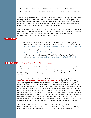- established a permanent Civil Society Reference Group on viral hepatitis; and
- released its Guidelines for the Screening, Care and Treatment of Persons with Hepatitis C *Infection*.

Activists kept up the pressure in 2014 with a "Still Missing" campaign during high-level WHO meetings where an updated WHA resolution on viral hepatitis was being developed. They successfully lobbied to get more government cosponsors for the new resolution—especially in countries where the HCV burden is high. They pushed for the inclusion of harm reduction services and access to generic drugs for LMICs in the resolution.

When it came to a vote, a much-improved viral hepatitis resolution passed unanimously. As a result, the WHO, member governments, and other stakeholders are now expected to increase their commitment to address viral hepatitis. The new resolution is an important tool that activists can use to expand HCV treatment access in their countries.

#### RESOURCES:

HepCoalition. *Defuse Hepatitis C, the Viral Time Bomb: Test and Treat Hepatitis C.* Position Paper for the 67th World Health Assembly, May 19–24, 2014. Available at: [http://hepcoalition.org/advocate/advocacy-tools/article/defuse-hepatitis-c-the-viral-time.](http://hepcoalition.org/advocate/advocacy-tools/article/defuse-hepatitis-c-the-viral-time)

HepCoalition. *Missing Campaign*. Available at: [http://hepcoalition.org/advocate/campaigns/missing/article/missing.](http://hepcoalition.org/advocate/campaigns/missing/article/missing)

Sixty-Seventh World Health Assembly. *The 2014 WHA67.6 Hepatitis Resolution*. Available at: [http://apps.who.int/gb/ebwha/pdf\\_files/WHA67/A67\\_R6-en.pdf.](http://apps.who.int/gb/ebwha/pdf_files/WHA67/A67_R6-en.pdf)

#### CASE STUDY: Removing barriers to global HCV donor support

The World Health Organization Essential Medicines List (EML) is a list of medicines the WHO considers essential to a basic health care system. Many governments refer to the WHO recommendations to inform decisions on health care spending. When a drug is included on the WHO EML, it is more likely to appear on a country's national EML and be given priority for coverage.

Adding HCV treatment to the WHO's EML sends an important signal to global donors. Médecins Sans Frontières/Doctors Without Borders (MSF), a global health advocacy group with significant clout and visibility, decided to push the WHO to include pegylated interferon (PEG-IFN) as part of the standard of care for hepatitis C virus on its EML. MSF did not proceed alone because it understood that support from allies added significant value and helped amplify its demand. In solidarity, Treatment Action Group (TAG) developed a guide for activists to explain why adding PEG-IFN to the WHO's EML could influence global donors and thereby empower LMIC governments to start treatment programs. TAG disseminated the guide and appealed for letters of support via HCV and HIV activist networks. Ultimately, hundreds of signatures and letters were collected from people with HCV and from high-profile allies including the executive director of the Global Fund to Fight AIDS, Tuberculosis and Malaria (GFATAM), the UN special rapporteur on the right to health, and leaders of regional UNAIDS agencies.

WHO technically considers only medical evidence when determining whether to place a drug on its EML. But the campaign forcefully demonstrated that HCV is of major concern to a broad range of people across dozens of countries, and that they are looking to the WHO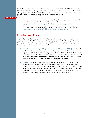for leadership on this critical issue. In the end, PEG-IFN made it onto WHO's complementary EML instead of the main list, given concerns about its cost. It is a partial victory, but there were other positive results: MSF developed new allies, and activists around the world connected with powerful leaders in the emerging global HCV advocacy movement.

#### RESOURCES:

Treatment Action Group. *Support Inclusion of Pegylated Interferon in the World Health Organization's Essential Medicines List*. Available at: [http://www.treatmentactiongroup.org/hcv/pegifn-who-eml-support-letter.](http://www.treatmentactiongroup.org/hcv/pegifn-who-eml-support-letter)

World Health Organization. *WHO Model Lists of Essential Medicines*. Available at: [http://www.who.int/medicines/publications/essentialmedicines/en/.](http://www.who.int/medicines/publications/essentialmedicines/en/)

#### Demanding global HCV funding

The creation of global funding pools was critical for HIV treatment scale-up in low-income countries. Unlike with AIDS, there is currently no dedicated global funding mechanism to pay for HCV prevention, diagnostics, or treatment. Activists have been calling on two international funding organizations to start addressing HCV.

- The Global Fund to Fight AIDS, Tuberculosis and Malaria (GFATM) is the largest funder for HIV globally, providing billions of dollars to governments and civil-society organizations to address local and regional epidemics. The GFATM currently supports a small number of HCV treatment slots in several countries and supports access to HCV information and testing via harm reduction programs. Currently, the GFATM board of directors is considering whether to continue funding HCV treatment.
- Unitaid (UTD) is an organization financed by airline taxes. It helps reduce prices by shaping the market for treatments and diagnostics for HIV/AIDS, malaria, and tuberculosis in low-income countries. UTD has included HCV in its 2013–2016 strategic objectives, and in May 2014 committed up to US\$20 million to advance access to HCV treatment for people coinfected with HIV and to facilitate negotiating prices for HCV diagnostics. Ultimately, this investment will benefit all people with HCV.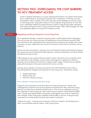# SECTION TWO: OVERCOMING THE COST BARRIERS TO HCV TREATMENT ACCESS

Access to essential medications is a human right that governments must uphold. Governments have a vested interest in securing the lowest price for a medication so that they can treat the greatest number of people. This section discusses several strategies activists have used to lower drug prices: using public pressure to force originator drug producers to lower their price; challenging intellectual property barriers to generic drugs through patent opposition; and working with governments to issue compulsory licenses. Often, these strategies will need to be deployed together to increase HCV treatment access.

### STRATEGY 5: Negotiating with Drug Companies to Lower Drug Prices

Price negotiations between companies and governments usually happen behind closed doors. One way activists can influence pricing is by establishing community advisory boards (CABs) that meet directly with representatives from pharmaceutical companies. By meeting with activists, companies can gain insight about local social and economic factors that can influence pricing decisions.

Activists are also instrumental in creating community demand for testing and treatment programs from governments and international health agencies, creating funding streams and drug markets that otherwise would not exist.

CAB meetings are also opportunities for activists to obtain information from companies, share local treatment access strategies, and formulate united regional or global price reduction demands. Drug companies are sensitive to negative public images. Activists have successfully used publicity pressure to force price reductions for some countries.

Learning about originator-company pricing tactics that inhibit treatment access is key to formulating effective strategies and arguments to lower drug prices. These tactics include:

- delayed registration,
- tiered pricing, and
- restrictive voluntary licensing.

#### How originator companies price their drugs

Originator drug companies are secretive about how they set drug prices. Activists have challenged the companies to be more transparent and disclose how they make their pricing decisions, but they have consistently refused to do so. One common explanation given by the companies for high drug prices is their need to recoup research and development (R&D) costs—though many experts believe companies actually spend more money on advertising and marketing. Public funding also subsidizes treatment R&D in the form of drug discovery conducted by university-based and government research institutions.

"Opportunity costs"—meaning what companies could have invested in the development of other, more profitable products instead—add to drug pricing.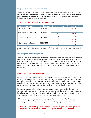#### Drug prices and actual production costs

Andrew Hill from the University of Liverpool and colleagues compared the production cost of new HCV direct-acting antivirals (DAAs) with those of similar HIV drugs. They found that actual production costs of the new DAAs—if increased to millions—would be no more than a few hundred U.S. dollars per treatment course.

| <b>Combination treatment</b> | Daily dose, mg | Duration, weeks | <b>Predicted cost, US\$</b> |  |
|------------------------------|----------------|-----------------|-----------------------------|--|
| $MK-8742 + MK-5172$          | $50 + 100$     | 12              | \$118                       |  |
| Daclatasvir + sofosbuvir     |                | 12              | \$121                       |  |
|                              | $60 + 400$     | 24              | \$242                       |  |
|                              |                | 8               | \$129                       |  |
| Sofosbuvir + ledipasvir      | $400 + 90$     | 12              | \$193                       |  |
| Sofosbuvir $+$ ribavirin     |                | 12              | \$149                       |  |
|                              | $400 + 1200$   | 24              | \$298                       |  |

#### Table 1. Predicted costs of key drug combinations

Source: Hill A, van de Ven N, Simmons B, et al. Minimum target prices for production of treatment and associated diagnostics for Hepatitis C in developing countries (Abstract LBPE12). Poster presented at: 20th International AIDS Conference; 2014 July 20–25; Melbourne, Australia.

#### Blocking generic drug competition

The availability of generic HIV drugs has been—and continues to be—critical to bringing down drug prices. Generic competition helped reduce the price of first-line HIV drugs by 99 percent within a decade, from US\$10,000 to under US\$100 per person per year. Where generic drugs are available, originator companies are forced to lower their prices in order to compete. To prevent this from happening, originators use many anticompetitive tactics to block the entry of generic drugs.

#### Industry tactic: Delaying registration

Before drugs can be marketed in a country, they must be registered—approved for use by that country's regulatory authorities. Registration policies and processes differ by country, but data on quality, safety, efficacy, and other characteristics of pharmaceutical products usually must be provided. Some regulatory authorities accept data from trials conducted in other countries, but others require originator and generic drug producers to conduct local studies.

For generic drugs, a full clinical development program is not necessary, but the drugs must demonstrate bioequivalence—meaning that they must contain the same active pharmaceutical ingredients, route of administration (e.g., oral), formulation (e.g., capsule or tablet), dosing (e.g., once-daily), and rate of absorption—as the originator products.

Originator companies may delay or fail to register their drug in a country. Where a drug is not registered, countries will not be able to import the drug legally or produce a generic version domestically. Failure to register effectively blocks access to the drug.

#### **Activist demand: Originator companies should register their drugs in all countries where there are people living with the relevant disease**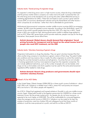#### Industry tactic: Tiered pricing of originator drugs

An originator's initial drug price is set in a high-income country, where the drug is developed and the primary market where a company can make most of its profit. Companies then use the initial drug price as the standard to set up pricing tiers (also called differential pricing or marketing segmentation) for LMICs. These tiers are based on each country's gross national income (GNI, an economic development indicator set by the World Bank) and other factors which companies do not disclose—rather than what is affordable for governments.

Multinational pharmaceutical companies consider middle-income countries (MICs) as emerging markets. Yet MICs have the greatest income inequality. According to the World Bank, nearly 75 percent of the world's poorest people (earning less than US\$1.25 a day) live in MICs. Tiered prices in MICs are usually too high, leaving governments unable to address large epidemics such as HCV. When MIC governments cannot provide medicines, people must pay for the drugs themselves. Most people cannot afford them.

#### **Activist demand: Global donors should demand that originators' tiered pricing formulas be transparent and be based on the actual income level of people who need HCV treatment, not the GNI**

#### Industry tactic: Voluntary licensing of generic drugs

Originators hold patents on drugs they develop. They can grant voluntary licenses (VLs) that allow another drug company to manufacture a generic version of their drug. The patent holder sets conditions and may receive a fee or royalty. VLs allow originators to control the market by limiting the countries licensed to produce and sell generics. Countries that are not included in licensing agreements must buy more expensive drugs from the originator companies. VLs can include additional restrictions, such as the number of people who can be treated, what drugs can be co-formulated, and which suppliers must be used for the active pharmaceutical ingredients (APIs) needed to make drugs.

#### **Activist demand: Generic drug producers and governments should reject restrictive voluntary licenses**

#### CASE STUDY: Gilead's VL for HCV DAAs

In the United States, Gilead charges US\$84,000 for a three-month course of sofosbuvir—about US\$1,000 a pill. Sofosbuvir is needed most in MICs, where HCV and poverty are rampant. MICs are home to 130 million people with hepatitis C.

As of 2014, Gilead had registered and licensed sofosbuvir (Sovaldi) in only one middle-income country: Egypt. Gilead sells Sovaldi to the Egyptian government for US\$900 for a three-month treatment course. But the private-market price—for people who do not have insurance—is expected to be much higher, at US\$9,000. This will be unaffordable for uninsured Egyptians, where the average annual income is US\$3,314. Sofosbuvir can be made for far less; the analysis of production costs from Andrew Hill and colleagues found that three months of sofosbuvir could be mass-produced at a profit, and sold for as little as US\$101.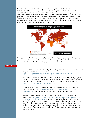Gilead announced voluntary licensing agreements for generic sofosbuvir in 91 LMICs in September 2014. The company did not offer licenses for generic sofosbuvir to five of the 20 countries with the largest number of hepatitis C cases (China, Brazil, the Philippines, Ukraine, and Turkey): approximately 38 million people. Instead, Gilead chose to include several sparsely populated countries with smaller epidemics, such as Antigua and Barbuda, Dominica, Nauru, Seychelles, and Tuvalu—where less than 2,000 people have hepatitis C. This is a common industry tactic: beefing up the scope of the license for public relations purposes, while keeping what they see as more lucrative markets to themselves.



In response, the HepCoalition produced an activist tool to help educate health ministers and policies makers in LMICs about the problems with VLs. They created a list of myths and facts to counter Gilead's claim that they are helping to expand HCV treatment access through VLs.

#### RESOURCES:

HepCoalition. *Gilead's License on Hepatitis C Drugs, Sofosbuvir and Ledipasvir: A Fool's Bargain–Myths and Facts*. Available at: <http://www.hepcoalition.org/news/article/gilead-s-license-on-hepatitis-c>.

Hill A, Khoo S, Fortunak J, Simmons B, Ford N. *Minimum Costs for Producing Hepatitis C Direct-Acting Antivirals for Use in Large-Scale Treatment Access Programs in Developing Countries*. Clinical Infectious Diseases. Apr 2014;58(7):928–936. Available at: [http://cid.oxfordjournals.org/content/58/7/928.long.](http://cid.oxfordjournals.org/content/58/7/928.long)

Kaplan K, Swan T. *The Road to Treatment Access*. TAGline, vol. 21, no. 2, October 2014. Available at: [http://www.treatmentactiongroup.org/tagline/2014/fall/road](http://www.treatmentactiongroup.org/tagline/2014/fall/road-treatment-access)[treatment-access](http://www.treatmentactiongroup.org/tagline/2014/fall/road-treatment-access). The preceding case study was adapted from this article.

Médecins Sans Frontières. *Untangling the Web of Antiretroviral Price Reductions*. Available at: [http://www.msfaccess.org/content/untangling-web-antiretroviral-price](http://www.msfaccess.org/content/untangling-web-antiretroviral-price-reductions-17th-edition-%E2%80%93-july-2014)[reductions-17th-edition-–-july-2014.](http://www.msfaccess.org/content/untangling-web-antiretroviral-price-reductions-17th-edition-%E2%80%93-july-2014) This pricing guide published by MSF lists the prices of various HIV drugs worldwide. The lack of clear information on drug prices is a significant barrier to improving access in developing countries. While no equivalent guide to the price of HCV drugs yet exists, activists have used their networks and the international HCV coalition listserv to obtain HCV drug prices to inform their treatment access strategies.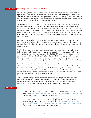#### CASE STUDY: Promoting access to biosimilar PEG-IFN

PEG-IFN is a synthetic, or man-made, version of the interferon protein made in the body to fight infections. It is a biologic, rather than a chemical drug, and must be produced in living cells. For this reason, biosimilars—cheaper, generic versions of a biologic—are harder to make than generic drugs. Proving their safety and efficacy to regulatory authorities requires expensive clinical trials, and the guidelines for doing so are unclear.

Access to PEG-IFN is still important for millions of people in LMICs who have advancing liver damage from hepatitis C that need to be treated now. They cannot wait for affordable HCV DAAs. But brand name PEG-IFNs, made by Roche and Merck, can cost up to US\$30,000 per treatment course. Biosimilars of PEG-IFN are available (produced in Egypt and India) and under development (in Brazil and Cuba), but the difficulties in determining their quality, safety, and efficacy—and proving they do the same job as the originals—create critical access barriers in many countries.

Activists have been calling on the U.S. Food and Drug Administration (FDA), the European Medicines Agency (EMA), and the WHO to help create a clear and simple path to approval so that more biosimilar PEG-IFNs can enter the market and create the price competition needed to increase access.

The WHO can also facilitate prequalification of biosimilars according to standards they set, including ensuring biologic manufacturers' compliance with Good Manufacturing Practices. This is particularly important because biologics like PEG-IFN have complex structures, which may vary from batch to batch. Impurities from the manufacturing process—or in the product itself—can trigger an immune response (called *immunogenicity*) that may cause acute or delayed hypersensitivity reactions or injection-site reactions, and may reduce treatment efficacy.

Without clear regulations about manufacturing and approval, it is difficult to find information about the development and regulatory status of biosimilar PEG-IFNs. But the existence of a biosimilar has already brought the price of PEG-IFN down in Egypt, where Roche and Merck were forced to compete with the price of the Egyptian-made biosimilar PEG-IFN (Reiferon Retard, made by Minapharm). The competition led to lowered prices for the Roche and Merck products—around US\$2,000 per treatment course.

While Thailand, Georgia, and Ukraine have also successfully negotiated PEG-IFN price reductions with Roche or Merck, the reduced prices are not low enough to enable those governments to treat all who need the drug. Without biosimilar competition, further price reductions—such as those obtained by the Egyptian government—will be difficult to secure.

#### RESOURCES:

Couzin O, Kaplan K. *Pills Cost Pennies, Greed Costs Lives—1st HCV World CAB Report*. Available at: [http://www.treatmentactiongroup.org/hcv/publications/wcab-report-2014.](http://www.treatmentactiongroup.org/hcv/publications/wcab-report-2014) The preceding strategy was adapted from this report.

Swan T. *Access to Hepatitis C Treatment: A Global Movement Gains Momentum*. TAGline, vol. 17, no. 3, October 2010. Available at: [http://www.treatmentactiongroup.](http://www.treatmentactiongroup.org/tagline/2010/fall/access-hepatitis-c-treatment-global-movement-gains-momentum) [org/tagline/2010/fall/access-hepatitis-c-treatment-global-movement-gains-momentum.](http://www.treatmentactiongroup.org/tagline/2010/fall/access-hepatitis-c-treatment-global-movement-gains-momentum) The preceding case study was adapted from this article.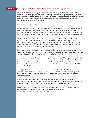#### STRATEGY 6: Challenging Intellectual Property Barriers through Patent Oppositions

Patent protection on new drugs is a major barrier to lifesaving treatments for people in LMICs because it eliminates generic competition, allowing brand name–drug companies (originators) to sell their drugs at astoundingly high prices. Activists have filed patent oppositions to overcome this hurdle. While this strategy requires a significant time and resource commitment, they can and have been successfully implemented.

#### Understanding Patent Laws

In most countries, originators can apply for patent protection for the drugs they develop. A patent grants the originator the exclusive right to sell the drug in a country, prohibiting a third party (such as a generic drug manufacturer) from producing, distributing, selling, or importing the drug for a certain length of time. The patent is applicable only in the country in which it was granted.

Internationally, the World Trade Organization's (WTO) 1995 Agreement on Trade-Related Aspects of Intellectual Property Rights (TRIPS) drastically strengthened the power of the pharmaceutical industry, subjecting treatment access to market pressures and corporate greed. Under the agreement, WTO member countries must allow patent protection with a minimum term of 20 years in order to conduct international trade.

Patent oppositions involve reviewing the merits of a pharmaceutical patent application in your country and determining whether the patent should be granted (pre-grant opposition) or revoked (post-grant opposition). Each country sets its own criteria for patentability.

A pre-grant patent opposition is when a third party, such as an activist group, is granted the right to submit evidence on patentability. For example, U.S.-based Initiative for Medicines, Access & Knowledge (I-MAK) with the Delhi Network of Positive People (DNP+) was allowed to contest the patentability of sofosbuvir in India. In January 2015, the controller of the Delhi Patent Office ruled in IMAK/DNP+'s favor.

A post-grant patent opposition allows for the invalidation of a patent that has already been granted. For example, in 2013, China revoked Gilead's patent on tenofovir on the grounds that it lacked novelty. Generic companies in China can now produce tenofovir domestically, decreasing its price.

Finding information regarding drug patents can be difficult; often patent offices and pharmaceutical companies do not publicize patent information, or they release information that is not easily accessible or useful. Few country patent databases are digitized.

I-MAK's *Patent Landscape Report for Pegylated Interferon Alfa 2a and 2b* provides information and increases transparency on PEG-IFN patents worldwide. Available at: [http://essentialdrugpatents.com/hepcdatabase.php.](http://essentialdrugpatents.com/hepcdatabase.php)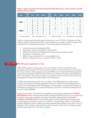#### Table 2: Status of patents that block biosimilar PEG-IFN access in the countries with the highest HCV prevalence

| <b>Product</b>                                                                                                                                                                                                                                                                                | <b>Patent</b><br><b>Type</b> | <b>Brazil</b> | <b>Egypt</b> | Georgia | <b>Kyrgyz</b><br><b>Republic</b> | India        | Indonesia             | <b>Russia</b> | <b>Thailand</b>       | <b>Ukraine</b> |
|-----------------------------------------------------------------------------------------------------------------------------------------------------------------------------------------------------------------------------------------------------------------------------------------------|------------------------------|---------------|--------------|---------|----------------------------------|--------------|-----------------------|---------------|-----------------------|----------------|
| <b>Pegasys</b>                                                                                                                                                                                                                                                                                | A                            | $\checkmark$  | $\checkmark$ | ✓       | $\checkmark$                     | X            | ?                     | ✓             | ?                     | ✓              |
|                                                                                                                                                                                                                                                                                               | B                            | X             | ?            | X       | X                                | $\checkmark$ | $\tilde{\phantom{a}}$ | $\checkmark$  | $\tilde{\phantom{a}}$ | X              |
|                                                                                                                                                                                                                                                                                               |                              | ?             | ?            | ?       | ?                                | ?            | ?                     | ?             | ?                     | ?              |
|                                                                                                                                                                                                                                                                                               | D                            | X             | ?            | X       | X                                | $\checkmark$ | $\tilde{\phantom{a}}$ | $\checkmark$  | $\tilde{\phantom{a}}$ | X              |
| <b>PegIntron</b>                                                                                                                                                                                                                                                                              | A                            | X             | ?            | X       | X                                | X            | $\tilde{\phantom{a}}$ | X             | ?                     | X              |
|                                                                                                                                                                                                                                                                                               | B                            | X             | ?            | X       | X                                | $\checkmark$ | $\tilde{\phantom{a}}$ | X             | $\tilde{\phantom{a}}$ | X              |
|                                                                                                                                                                                                                                                                                               |                              | X             | ?            | X       | X                                | $\checkmark$ | ?                     | X             | ?                     | X              |
| $\sqrt{2}$ , $\sqrt{2}$ , $\sqrt{2}$ , $\sqrt{2}$ , $\sqrt{2}$ , $\sqrt{2}$ , $\sqrt{2}$ , $\sqrt{2}$ , $\sqrt{2}$ , $\sqrt{2}$ , $\sqrt{2}$ , $\sqrt{2}$ , $\sqrt{2}$ , $\sqrt{2}$ , $\sqrt{2}$ , $\sqrt{2}$ , $\sqrt{2}$ , $\sqrt{2}$ , $\sqrt{2}$ , $\sqrt{2}$ , $\sqrt{2}$ , $\sqrt{2}$ , |                              |               |              |         |                                  |              |                       |               |                       | $-1$ $-1$ $-1$ |

 $\mathbf{Y} =$  Patent granted  $\mathbf{X} =$  No patent found  $\mathbf{z} =$  Patent pending **?** = Information not available

I-MAK is currently researching the patent landscape for new HCV DAAs. Originators will often apply for patents that protect their DAA in every possible way, making it harder for generic drug manufacturers to challenge these barriers. They include patents that protect the:

- active pharmaceutical ingredients (APIs);
- intermediate compounds needed to make the API;
- different formulations and dosages (even though only one might be used);
- processes for manufacture; and
- different drug combinations (i.e., drug cocktails); and
- different methods of use (e.g., treatment of HIV or HCV).

#### CASE STUDY: PEG-IFN patent oppositions in India

Before 2005, patents on drug products were not allowed in India, but patents for drug processes could be granted. The minimum patent duration was only seven years. As a result of this unique situation, India emerged in the early 2000s as one of the world's leading exporters of generic drugs. Between 2006 and 2010, 80 percent of generic HIV drugs were supplied by India. India's generic drug industry makes it an important country for HCV as well, since it has the potential to produce and export generic HCV medications.

In 2005, India reformed its patent laws to conform to the TRIPS Agreement. Following the change, the first patent protection granted by India was to Hoffmann-La Roche (Roche) for its version of the HCV treatment PEG-IFN (Pegasys). Having gained a monopoly, Roche began to sell Pegasys at US\$8,752 for six months of treatment, more than 10 times the average annual income in India (US\$830).

Hoping to spur generic and biosimilar competition by removing this patent barrier, **Sankalp** Rehabilitation Trust, a Mumbai-based NGO providing HIV/AIDS and HCV care and education to injection drug users, submitted a post-grant opposition. Represented by the Lawyers Collective's HIV/AIDS Unit (a human rights group), Sankalp argued that the process used to make Pegasys was neither "novel" nor involved an "inventive step." After an initial setback, Sankalp appealed to India's Intellectual Property Appellate Board (IPAB), which ruled in favor of Sankalp in 2012, thereby revoking Roche's patent protection. Roche has since filed an appeal with the Indian High Court. The case is ongoing.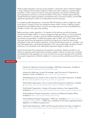While its patent opposition case has not yet resulted in a biosimilar version of Roche's Pegasys in India, Sankalp and the Lawyers Collective's efforts were vital in setting an important legal precedent. In India, anyone can submit a pre-grant opposition, but persons submitting postgrant oppositions must have a commercial interest in the product. Sankalp argued that they represented Roche's patient population and therefore had a commercial interest, and the IPAB agreed by expanding the criteria to include patient and activist groups.

In a hopeful parallel development, a biosimilar PEG-IFN (based on Merck's PegIntron) made by the generic company Virchow has entered the Indian market. Virchow is fighting a patent infringement lawsuit filed by Merck, using the same legal argument as the one established by Sankalp vs. Roche. This case is also pending.

Before pursuing a patent opposition, it is important to first educate yourself and prepare. Activists should assess whether or not your strategy has legal grounding, or if action should be taken to advocate for a change in national intellectual property laws. Activists should find a local lawyer who specializes in intellectual property, right to health, HIV, or HCV issues. Ideally, the lawyer should have the experience and technical capacity (or at least the interest and willingness) to help with the patent opposition. Activists should also be aware of—and fight—any free trade agreements currently being negotiated, which may include higher standards of patent protections. Such standards could make patent oppositions illegal or harder to win.

Activists should share their experience with opposition procedures, whether successful or not. Where an opposition seems particularly promising, people in relevant countries can coordinate and collaborate to file oppositions at or near the same time (a recent example of this would be the pre-grant oppositions to Gilead's sofosbuvir in various countries submitted around the same time).

#### RESOURCES:

Initiative for Medicines, Access & Knowledge. *I-MAK Patent Landscapes*. Available at: [http://essentialdrugpatents.com/hepcdatabase.php.](http://essentialdrugpatents.com/hepcdatabase.php)

Initiatives for Medicines, Access & Knowledge. *Legal Documents for Opposition to Sofosbuvir (India)*. Available at:<http://www.i-mak.org/sofosbuvir>.

PatentOppositions.org. *Guide on How to Build Your Own Patent Opposition*. Available at: http://patentoppositions.org/how to build an opposition.

World Health Organization. *How to Conduct Patent Searches for Medicines*. Available at:<http://apps.who.int/medicinedocs/documents/s17398e/s17398e.pdf>.

World Health Organization. Analysis of the patent situation of new hepatitis DAAs. Available at: [http://www.who.int/phi/implementation/ip\\_trade/ip\\_patent\\_landscapes/en/.](http://www.who.int/phi/implementation/ip_trade/ip_patent_landscapes/en/)

World Intellectual Property Organization. Directory of Intellectual Property Offices. Available at: <http://www.wipo.int/directory/en/urls.jsp>.

World Intellectual Property Organization. WIPO Lex. Available at: [http://www.wipo.int/](http://www.wipo.int/wipolex/en/index.jsp?tab=3) [wipolex/en/index.jsp?tab=3.](http://www.wipo.int/wipolex/en/index.jsp?tab=3) WIPO Lex is a database of information regarding national legislation on intellectual property laws.

World Trade Organization. *TRIPS and Pharmaceutical Patents Fact Sheet*. Available at: [http://www.wto.org/english/tratop\\_e/trips\\_e/tripsfactsheet\\_pharma\\_2006\\_e.pdf](http://www.wto.org/english/tratop_e/trips_e/tripsfactsheet_pharma_2006_e.pdf).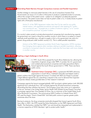#### STRATEGY 7: Overriding Patent Barriers through Compulsory Licenses and Parallel Importation

Another strategy to overcome patent barriers is the use of compulsory licenses (CLs). Governments can issue a CL to allow a third party to produce a patented product or process, without the consent of the patent owner—subject to an obligation of adequate payment (remuneration). The patent owner does not lose its patent under a CL; it merely shares its patent rights with a third-party manufacturer.

Article 31 of the TRIPS Agreement makes clear that CLs be used for any public interest reason, with expedited procedures and special rules applying for "public, non-commercial use," "emergencies or matters of extreme urgency," or to "correct anti-competitive practices" by patent holders.

If a country's state-owned or private pharmaceutical companies lack manufacturing capacity, the government can import a drug from another country in which there is no patent or import relatively small quantities (e.g., enough to supply a clinic or for government use only) of a generic drug produced under another country's CL. This is called parallel importation.

Article 6 of the TRIPS Agreement prohibits World Trade Organization (WTO) members from bringing claims against other members relating to parallel importation, allowing countries to comparison shop for innovator medicines that have been sold more cheaply in another country.

#### CASE STUDY: Fighting a legal challenge in South Africa



In 1997, South Africa passed the South Africa Medicines Act, allowing the importation of generic drugs under TRIPS. In protest, the U.S. government and multiple pharmaceutical companies and trade associations filed a lawsuit against the South African government in 1998. There was fierce public outcry.

Treatment Action Campaign (TAC), a grassroots HIV/AIDS advocacy organization in South Africa, mobilized nationally and helped create a

global coalition that fought against the lawsuit. It worked with AIDS Law Project to pioneer a legal defense against the suit, submitting a request to the court to demand that originator companies release closely guarded data on their research investment.

Campaigns against the lawsuit emerged globally. MSF launched a global petition (with 300,000 signatures from individuals from 130 countries) against the 39 pharmaceutical companies, demanding that they withdraw the lawsuit. The European Union also came out in opposition to the suit. Activists in the United States, led by Health GAP (Global Access Project), launched a campaign against then–Vice President Al Gore, the co-chairman of the United States-South Africa Binational Commission. The activist group AIDS Coalition to Unleash Power (ACT UP) used the slogan "Gore's Greed Kills" and held public actions to garner greater public awareness about the issue.

Bowing to pressure, the drug companies eventually dropped their lawsuit against South Africa. Soon after, in 2001, the WTO issued the Doha Declaration on the TRIPS Agreement and Public Health. The Declaration clarified that TRIPS "can and should be interpreted and implemented in a manner supportive of WHO Members' right to protect public health."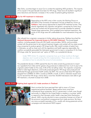After Doha, countries began to issue CLs to combat the exploding AIDS pandemic. The majority of CLs issued in the past decade have been for HIV drugs. These have all resulted in significant price reductions and dramatic increases in the number of patients getting treatment.

#### CASE STUDY: CLs for HIV treatment in Indonesia



Responding to the AIDS crisis in their country, the Working Group on HIV/AIDS of the University of Indonesia's Faculty of Medicine, known as Pokdisus, tried various approaches to expand HIV treatment access. They directly negotiated with originator and generic companies for lower drug prices and worked with the government to provide subsidies for patients. Despite these approaches, which enabled some treatment expansion, the prices of HIV drugs were still unaffordable for most Indonesians living with HIV.

After refusals from originator companies to further reduce drug prices, Pokdisus launched the National Movement for Improved Access to HIV/AIDS Treatment. This broad-based coalition, including people living with HIV, health care providers, NGOs, and journalists, worked with the government to set national treatment targets, and worked with two state-owned drug companies to produce generic HIV drugs locally. After careful analysis of patent laws in Indonesia, as well as close work with the regulatory and health agencies responsible, the coalition successfully persuaded the Indonesian government to issue a compulsory CL for three HIV drugs under the "government use" option of TRIPS, via a presidential decree.

Under TRIPS Article 10, originator companies have up to three months to file legal objection, but it would not stop the CL's implementation. There were also no criteria provided on how to calculate the amount of remuneration.

The presidential decree in 2004 opened the door for state-owned drug producers to import raw ingredients from India and for generic drug producers to determine how much to pay to the originator patent holder (in this case, 0.5% of the net selling value). The originator companies failed to make legal objections, and locally produced generic HIV drugs were produced and distributed through government health centers. By 2007, the cost of a fixed-dose HIV regimen dropped from US\$800–\$1,000 a month to US\$38 a month. In 2012, Indonesia issued more CLs for second-line HIV drugs, and by 2013, more than 30,000 Indonesians were able to get HIV treatment, a fourfold increase from 2008.

#### CASE STUDY: Fighting back against U.S. trade sanctions in Thailand



Most countries that have exercised their right to issue a CL have experienced political backlash. Repercussions have come from multinational drug companies, the U.S. government, or both, even though technically it is illegal for the United States to interfere in countries' ability to respond to their domestic public health crises (see Doha Declaration, above). LMICs may be reluctant to issue compulsory licenses out of fear of the economic and political consequences from trade sanctions. But there are many successful examples of CLs, usually with strong grassroots activist campaigns and international NGO support.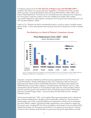In Thailand, pressure from the Thai Network of People Living with HIV/AIDS (TNP+) resulted in the creation of a government price negotiation committee for the Thai universal health care plan, comprising Thailand's Food and Drug Administration, Patent Office, and Internal Trade Department. The threat of CLs motivated some price reductions from originators, but not enough to meet the number of Thais who needed to be treated. After multiple unsuccessful negotiations with originator companies, the Thai government started issuing CLs for HIV and other diseases in 2006.

Under its CLs, Thailand was able to domestically produce, as well as import in parallel, several generic drugs—in the process greatly reducing drug prices and increasing the number of people treated.

#### Price Reductions as a Result of Thailand's Compulsory Licenses



### Price Reductions From 2007 - 2012

Source: Thai Ministry of Health

Source: University of Cape Town: Property Law and Policy Research Unit. Use of Compulsory Licenses Selected National Experiences. 2009 July 12. Available from: [http://unctad.org/Sections/dite\\_totip/docs/tot\\_ip\\_0018\\_en.pdf](http://unctad.org/Sections/dite_totip/docs/tot_ip_0018_en.pdf).

Originator companies retaliated by withdrawing drug registrations from the Thai Food and Drug Administration, thereby withholding access to new medications. Both the American pharmaceutical industry and the United States-Association of Southeast Asian Nations (US-ASEAN) Business Council either stopped or reduced business with Thailand. The U.S. trade representative placed Thailand on its international trade watch list. Trade privileges aimed to promote economic growth were revoked for three of Thailand's export products. Meanwhile, American and other foreign media—most prominently, the Wall Street Journal—attacked Thailand's actions.

Activist groups fought back: TNP+ and its global allies organized protests at the multinational drug company headquarters in Bangkok and at shareholder conferences. They launched a boycott against one of the companies (Abbott) and organized an online action to temporarily shut down Abbott's website. International health organizations came onboard to support the Thai government, including MSF, the Clinton Foundation, the European Council, and the WHO. Despite the backlash, the Thai government held firm to its decision to issue the CLs. Thailand continues to be a leading world example of a government taking full responsibility to provide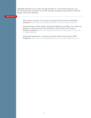affordable treatment to all in need. Through the threat of—and eventual issuing of—CLs, the Thai government was able to lower both originator and generic drug prices for HIV, heart disease, and cancer medicines.

#### RESOURCES:

Public Citizen. *Examples of Compulsory Licensing for Pharmaceuticals Worldwide*. Available at: <http://www.citizen.org/documents/CL chart short version-final.pdf>.

Thailand Ministry of Public Health and National Health Security Office. *The 10 Burning Questions on the Government Use of Patents on the Four Anti-Cancer Drugs in Thailand*. Available at: http://www.moph.go.th/hot/Second white paper on the Thai [CL\\_%5BEN%5D.pdf](http://www.moph.go.th/hot/Second_white_paper_on_the_Thai_CL_%5BEN%5D.pdf).

World Trade Organization. *Compulsory Licensing of Pharmaceuticals and TRIPS*. Available at: [http://www.wto.org/english/tratop\\_e/trips\\_e/public\\_health\\_faq\\_e.htm](http://www.wto.org/english/tratop_e/trips_e/public_health_faq_e.htm).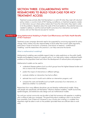# SECTION THREE: COLLABORATING WITH RESEARCHERS TO BUILD YOUR CASE FOR HCV TREATMENT ACCESS

Treatment access activists often find themselves in a catch-22 when they meet with reluctant policy makers: a country's lack of HCV testing, surveillance, or treatment programs creates an information vacuum where policy makers don't have the information they need in order to fix the problems. Questions about the scale of the local epidemic, the potential resources needed to address it, and the eventual health outcomes of an intervention are hard to answer, and can then become excuses for inaction.

#### Using Mathematical Modeling to Predict Cost-Effectiveness and Public Health Benefits of HCV Treatment STRATEGY 8:

Treatment access campaign demands need to be supported by convincing arguments for policy change. Policy makers may also respond better to fiscal rather than human rights arguments, particularly in times of economic uncertainty. One branch of research—mathematical modeling—and the researchers who practice it, can help overcome this barrier.

#### What is mathematical modeling?

Mathematical modeling uses available research data to make predictions on the public health benefits and budgetary impacts of a specific policy. It can help policy makers understand health problems at the population level and inform the development of national plans and programs.

Mathematical models can be used to:

- understand disease patterns (such as which groups have the highest disease burden and who is most at risk of transmission);
- predict the impact of interventions in different settings;
- evaluate whether an intervention has had an effect;
- estimate how much it would cost to deliver an intervention program; and
- compare the costs and benefits (such as health outcomes) of an intervention, to determine whether it is worthwhile.

Researchers from many different disciplines use and develop mathematical models. Along with people who specifically call themselves "infectious disease modelers," health economists, epidemiologists, and statisticians also design and use mathematical models.

You and your activist community may be able to help find someone with expertise in modeling who is willing to help your campaign. The good thing about modeling is that it can be done from anywhere. Even if there isn't someone in your country who is doing it, a modeler from elsewhere might be able to work on the problem (provided there are sufficient data to work with).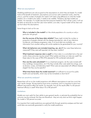#### What are assumptions?

Modeling predictions are only as good as the assumptions on which they are based. If a model looks at the benefit of treatment, assumptions such as how well a treatment works, what the price is, and the number of people who need it will make a big difference on what the model predicts. For a model to be useful, it needs to be credible. Therefore, the best models are realistic. For example, if a model assumes that everyone treated for HCV will be cured, it will not be taken as seriously as one that uses more realistic cure rates. A good model will be clear and up-front about the assumptions.

Some things to look out for are:

Who is included in the model? Is it the whole population of a country or only a particular risk group?

Are the sources of the base data reliable? These might include the number or proportion of people infected with the disease (prevalence), rate of new infections (incidence), and disease progression rates. If no local data are available, can information from another setting with similar epidemics be generalized for your country?

What risk behaviors are included (injecting, sex, etc.)? How were these behaviors measured? If they were self-reported, do they seem realistic?

What treatment response rate is used? Is it from data in a controlled trial or the real world, where outcomes may be worse? What uptake and drop-out rates are used? Are these rates (in the case of PEG-IFN) adjusted for HIV-coinfected individuals?

How are the costs calculated? If it is a treatment program, do the costs include staff time, buildings, transportation, etc.? Do they include other costs aside from drugs, such as doctors, nurses, and laboratory tests? What costs are associated with different disease stages? Are they country-specific?

What time frame does the model examine? Is it sufficient to account for public health and cost benefits, which may not be immediate or short term?

#### What are sensitivity analyses?

Researchers will re-run the model projections with different assumptions to see how much the main results change. All assumptions have some uncertainty, and it is important to show how different assumptions affect the results. For example, how do the results differ if a 60 percent treatment efficacy is used? What about 70 or 80 percent?

#### **Limitations**

Models are most useful for their ability to give general results, or estimate the probability that an outcome may be achieved. But they are theoretical—they are only what we think might happen. No model is 100 percent accurate.

It is important that model predictions are explored fully through sensitivity analyses and that realworld data are eventually generated to verify the model predictions.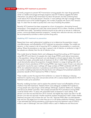#### CASE STUDY: Modeling HCV treatment as prevention

Currently, programs to prevent HCV transmission among people who inject drugs generally center on needle and syringe exchange programs and OST. Evidence suggests that either intervention can reduce HCV transmission by about 50 percent, but that combining them could reduce HCV risk by 80 percent. However, in many settings with high coverage of these interventions (such as the United Kingdom), the number of people with chronic HCV remains high. It's clear that we need to quickly find a new way of tackling the problem.

Recently, HCV treatment has been proposed as a form of prevention, eliminating forward transmission. Once people are cured, they cannot transmit HCV to others. However, as INPUD and MdM have noted, "biomedical solutions should not be used as an excuse to undermine proven, community-based prevention programs," namely harm reduction services, and should be accompanied by activities to reform punitive drug policy.

#### Modeling HCV treatment as prevention

Researchers have used mathematical modeling to try to determine the population impact, cost-effectiveness, and affordability of HCV treatment as prevention strategy. The models are dynamic, in that a person's risk of acquiring HCV is related to the prevalence in a particular setting. Where the prevalence is very high, a person's risk of infection or reinfection is high. If few people are infected, then the risk of infection is low.

One model done by Natasha Martin and colleagues showed that scaling up HCV treatment using PEG-IFN and ribavirin for people who inject drugs (PWID) could reduce transmission in the population. Using a 60 percent cure rate (based on clinical research data), this model showed that modest, achievable levels of treatment (5–20 of 1,000 PWID treated each year) could dramatically reduce the proportion of people infected in a range of settings (20, 40, or 60 percent chronic prevalence of HCV among PWID). Less impact is seen if lower cure rates are used (which may be the case in settings with large numbers of PWID coinfected with HIV and HCV), but substantial reductions in prevalence could still be achieved. This work is supported by another modelling study done by Nicolas Durier and colleagues that predicted substantial prevention benefit of HCV treatment for PWID in Vietnam.

These models counter the argument that reinfection is a reason for delaying or denying treatment to injection drug users and provide activists with a science-based rationale for HCV treatment scale-up for prevention.

Recently, modeling has been used to explore the potential impact and affordability of future interferon-free DAA treatments. Natasha Martin and colleagues modelled HCV epidemics among people who inject drugs in three settings: Edinburgh, Scotland; Melbourne, Australia; and Vancouver, British Columbia. Their analysis showed that HCV prevalence among PWID could be halved within 15 years with achievable levels of treatment in each setting. A 90 percent cure rate was assumed from 2015 onward, and slightly less impact was seen if an 80 percent cure rate was assumed. Another sensitivity analysis showed that it didn't matter whether treatment was given only to those who are "low risk," because PWID often circulate between high and low risk stages (such as when they are on or off opiate substitution therapy). However, it was estimated that halving prevalence could require drug-only treatment costs of US\$3.2 million a year in Edinburgh, and over US\$50 million a year in Melbourne and Vancouver.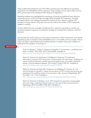These models demonstrate that new HCV DAAs could be even more effective at preventing transmission, but affordability will be a key issue. These analyses can be used to help convince LMIC governments of the necessity of HCV drug price negotiations.

Modeling analyses have highlighted the importance of scaling up traditional harm reduction interventions (such as OST and high-coverage NSPs) alongside HCV treatment. The study by Natasha Martin and colleagues showed that scaling up harm reduction reduces HCV prevalence among injection drug users and can also reduce the number of HCV treatments needed in a setting.

As many LMICs have low coverage of traditional harm reduction interventions, activists can use these analyses to argue for a combination strategy of increased harm reduction and HCV treatment.

We still need real-world evidence on the impact of treatment on HCV transmission, and whether expanding access to treatment will be affordable for low- and middle-income countries. And we need more data to demonstrate that providing treatment to injection drug users is effective in tackling the HCV epidemic in the long run.

#### RESOURCES:

Durier N, Nguyen C, White LJ. T*reatment of hepatitis C as prevention: a modeling case study in Vietnam*. PLoS ONE. 2012;7(4):e34548. Available at: <http://journals.plos.org/plosone/article?id=10.1371/journal.pone.0034548>.

Martin N, Hickman M, Hutchinson S, Goldberg D, Vickerman P. *Combination interventions to prevent HCV transmission among people who inject drugs: modelling the impact of antiviral treatment, needle and syringe programmes, and opiate substitution therapy*. Clinical Infectious Diseases. 2013 Aug;57 Suppl 2:S39–45. Available at: [http://cid.oxfordjournals.org/content/57/suppl\\_2/S39.full](http://cid.oxfordjournals.org/content/57/suppl_2/S39.full).

Martin N, Vickerman P, Foster GR, Hutchinson SJ, Goldberg DJ, Hickman M. *Can antiviral therapy for hepatitis C reduce the prevalence of HCV among injecting drug user populations? A modelling analysis of its prevention utility*. Journal of Hepatology. 2011 Jun;54(6):1137–1144. Available at: [http://www.journal-of-hepatology.eu/article/S0168-8278\(10\)00939-6/fulltext](http://www.journal-of-hepatology.eu/article/S0168-8278(10)00939-6/fulltext).

Martin N, Vickerman P, Grebely J, et al. *HCV treatment for prevention among people who inject drugs: modeling treatment scale-up in the age of direct-acting antivirals*. Hepatology. 2013 Nov;58(5):1598–609. Available at: <http://onlinelibrary.wiley.com/doi/10.1002/hep.26431/full>.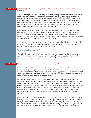### STRATEGY 9: Advocating for Policies and Programs Based on Evidence Provided by Operational Research

Just a decade ago, when AIDS activists pushed for expanding access to HIV treatment in LMICs, some policy makers and global donors questioned the feasibility of scaling up treatment in settings without well-developed health care infrastructures. Similar excuses are now surfacing with regard to HCV. While practical considerations about the availability of diagnostic tools, drug distribution and storage, and clinic staffing are important, the feasibility and effectiveness of treatment in resource-limited settings can be demonstrated through well-designed pilot programs and documented through operational research.

Operational research conducted by MSF provided the evidence that HIV treatment programs are feasible in LMICs and that the possibility of HIV treatment access is a powerful incentive for individuals to get tested. Subsequent operational research has also demonstrated that drug users can adhere to treatment and that a decentralized, simplified model of treatment delivery by nurses was feasible in rural South Africa and other settings.

These research results were used to convince governments and global funders to support and implement HIV treatment programs. Operational research can—and will—play an important role in activists' efforts to expand HCV treatment access.

#### What is operational research?

Operational research collects and analyzes information on the quality and effectiveness of a specific intervention in a real-world setting. It is designed to answer questions that have direct, practical relevance to guiding policy and improving health care delivery.

#### CASE STUDY: Using cross-sectional surveys to gather epidemiological data

Specific details about the size of a local HCV epidemic, population affected, particular strains of HCV (genotypes), and urgency of treatment needs are important for the development of effective HCV control and treatment programs. These data are usually generated by time-consuming and costly populationwide surveillance. Cross-sectional surveys can reduce the time and expense by sampling a representative subset of the population.

Médecins du Monde (MdM, Doctors of the World) has conducted a cross-sectional study to document the HCV treatment needs and genotype distribution among PWID in Tbilisi, Georgia. MdM collaborated with New Vector, a support group of drug users providing harm reduction services, and Hepa+, a patient organization of people living with hepatitis C in Tbilisi, to design a study in a representative sample of PWID in Tbilisi. The survey of 216 PWID showed a high rate of infection: 82 percent had chronic HCV; most had HCV genotype 3 (66.9%) although mixed-genotype infections were relatively common. Severe liver fibrosis was found in 24.2% of the group.

Based on this information, MdM was able to estimate that about 5,000 of the PWID in Georgia have severe liver disease and need HCV treatment. The study was published in a peer-reviewed medical journal, providing a credible evidence base for activists to demonstrate the urgent need for HCV treatment programs and, reinforced ongoing advocacy for scaling up syringe exchange and opiate substitution therapy programs to prevent further HCV transmissions in Georgia.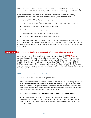MdM is conducting follow-up studies to evaluate the feasibility and effectiveness of providing strong peer-supported HCV treatment program for injection drug users using a biosimilar PEG-IFN.

Other barriers to HCV treatment access may be overcome with evidence provided by operational research. These include studying the feasibility and effectiveness of:

- generic HCV DAAs and biosimilar PEG-IFNs;
- cheaper and more user-friendly point-of-care HCV viral-load and genotype tests;
- heat-stable formulations and simplified drug dosing;
- treatment side effects management;
- peer-supported treatment adherence programs; and
- harm reduction approaches to prevent HCV reinfection.

Collaborating with researchers is a powerful way to document the need for HCV treatment in your country. Using operational research on pilot HCV treatment programs from other countries can help guide the creation of programs, based on evidence of feasibility and effectiveness, for your country.

#### CASE STUDY: Pilot program in Southeast Asia to treat HCV in people coinfected with HIV

An estimated 49–64 million people in Asia have been infected with HCV. **TREAT Asia**, a regional HIV research program of amfAR, the Foundation for AIDS Research, has launched the first multisite clinical study to address barriers to treating HCV in people living with HIV. The trial will evaluate the effectiveness and tolerability of PEG-IFN plus ribavirin in 200 HIV/ HCV-coinfected people in four sites: Jakarta, Indonesia; Bangkok, Thailand; Hanoi, Vietnam; and Kuala Lumpur, Malaysia. Treat Asia negotiated donations of the study drugs and diagnostics from the originator companies.

#### Q&A with Dr. Nicolas Durier of TREAT Asia

#### What do you wish to achieve through this study?

TREAT Asia's objectives are to develop a model of care that can be used for replication and scale-up and to demonstrate that HCV treatment in HIV-positive people in resource-limited settings is feasible—with good outcomes. We hope to increase awareness about hepatitis C and its current treatment in the region and to increase demand for treatment. Last but not least, we want to offer treatment to 200 people who need it.

#### What change in the pharmaceutical industry do you hope to bring about?

As the industry often downplays cost barriers to point to the challenges of treatment implementation, we hope that by implementing a model of care and demonstrating the feasibility of treatment, advocates will have additional evidence to support their work on price reductions.